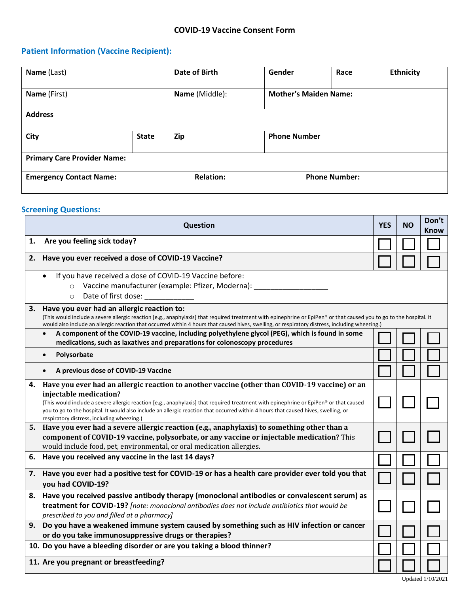## **Patient Information (Vaccine Recipient):**

| Name (Last)                        |              | Date of Birth                            | Gender                       | Race | <b>Ethnicity</b> |
|------------------------------------|--------------|------------------------------------------|------------------------------|------|------------------|
| Name (First)                       |              | Name (Middle):                           | <b>Mother's Maiden Name:</b> |      |                  |
| <b>Address</b>                     |              |                                          |                              |      |                  |
| <b>City</b>                        | <b>State</b> | Zip                                      | <b>Phone Number</b>          |      |                  |
| <b>Primary Care Provider Name:</b> |              |                                          |                              |      |                  |
| <b>Emergency Contact Name:</b>     |              | <b>Relation:</b><br><b>Phone Number:</b> |                              |      |                  |

## **Screening Questions:**

| <b>Question</b> |                                                                                                                                                                                                                                                                                                                                                                                                                                                      |  | <b>NO</b> | Don't<br>Know |
|-----------------|------------------------------------------------------------------------------------------------------------------------------------------------------------------------------------------------------------------------------------------------------------------------------------------------------------------------------------------------------------------------------------------------------------------------------------------------------|--|-----------|---------------|
| 1.              | Are you feeling sick today?                                                                                                                                                                                                                                                                                                                                                                                                                          |  |           |               |
| 2.              | Have you ever received a dose of COVID-19 Vaccine?                                                                                                                                                                                                                                                                                                                                                                                                   |  |           |               |
|                 | If you have received a dose of COVID-19 Vaccine before:<br>$\bullet$<br>Vaccine manufacturer (example: Pfizer, Moderna):<br>$\circ$<br>Date of first dose:<br>$\circ$                                                                                                                                                                                                                                                                                |  |           |               |
| 3.              | Have you ever had an allergic reaction to:<br>(This would include a severe allergic reaction [e.g., anaphylaxis] that required treatment with epinephrine or EpiPen® or that caused you to go to the hospital. It<br>would also include an allergic reaction that occurred within 4 hours that caused hives, swelling, or respiratory distress, including wheezing.)                                                                                 |  |           |               |
|                 | A component of the COVID-19 vaccine, including polyethylene glycol (PEG), which is found in some<br>$\bullet$<br>medications, such as laxatives and preparations for colonoscopy procedures                                                                                                                                                                                                                                                          |  |           |               |
|                 | Polysorbate<br>$\bullet$                                                                                                                                                                                                                                                                                                                                                                                                                             |  |           |               |
|                 | A previous dose of COVID-19 Vaccine                                                                                                                                                                                                                                                                                                                                                                                                                  |  |           |               |
| 4.              | Have you ever had an allergic reaction to another vaccine (other than COVID-19 vaccine) or an<br>injectable medication?<br>(This would include a severe allergic reaction [e.g., anaphylaxis] that required treatment with epinephrine or EpiPen® or that caused<br>you to go to the hospital. It would also include an allergic reaction that occurred within 4 hours that caused hives, swelling, or<br>respiratory distress, including wheezing.) |  |           |               |
|                 | 5. Have you ever had a severe allergic reaction (e.g., anaphylaxis) to something other than a<br>component of COVID-19 vaccine, polysorbate, or any vaccine or injectable medication? This<br>would include food, pet, environmental, or oral medication allergies.                                                                                                                                                                                  |  |           |               |
| 6.              | Have you received any vaccine in the last 14 days?                                                                                                                                                                                                                                                                                                                                                                                                   |  |           |               |
| 7.              | Have you ever had a positive test for COVID-19 or has a health care provider ever told you that<br>you had COVID-19?                                                                                                                                                                                                                                                                                                                                 |  |           |               |
| 8.              | Have you received passive antibody therapy (monoclonal antibodies or convalescent serum) as<br>treatment for COVID-19? [note: monoclonal antibodies does not include antibiotics that would be<br>prescribed to you and filled at a pharmacy]                                                                                                                                                                                                        |  |           |               |
| 9.              | Do you have a weakened immune system caused by something such as HIV infection or cancer<br>or do you take immunosuppressive drugs or therapies?                                                                                                                                                                                                                                                                                                     |  |           |               |
|                 | 10. Do you have a bleeding disorder or are you taking a blood thinner?                                                                                                                                                                                                                                                                                                                                                                               |  |           |               |
|                 | 11. Are you pregnant or breastfeeding?                                                                                                                                                                                                                                                                                                                                                                                                               |  |           |               |